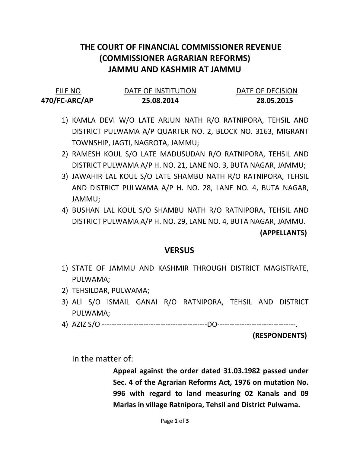# THE COURT OF FINANCIAL COMMISSIONER REVENUE (COMMISSIONER AGRARIAN REFORMS) JAMMU AND KASHMIR AT JAMMU

| <b>FILE NO</b> | DATE OF INSTITUTION | DATE OF DECISION |
|----------------|---------------------|------------------|
| 470/FC-ARC/AP  | 25.08.2014          | 28.05.2015       |

- 1) KAMLA DEVI W/O LATE ARJUN NATH R/O RATNIPORA, TEHSIL AND DISTRICT PULWAMA A/P QUARTER NO. 2, BLOCK NO. 3163, MIGRANT TOWNSHIP, JAGTI, NAGROTA, JAMMU;
- 2) RAMESH KOUL S/O LATE MADUSUDAN R/O RATNIPORA, TEHSIL AND DISTRICT PULWAMA A/P H. NO. 21, LANE NO. 3, BUTA NAGAR, JAMMU;
- 3) JAWAHIR LAL KOUL S/O LATE SHAMBU NATH R/O RATNIPORA, TEHSIL AND DISTRICT PULWAMA A/P H. NO. 28, LANE NO. 4, BUTA NAGAR, JAMMU;
- 4) BUSHAN LAL KOUL S/O SHAMBU NATH R/O RATNIPORA, TEHSIL AND DISTRICT PULWAMA A/P H. NO. 29, LANE NO. 4, BUTA NAGAR, JAMMU.

### (APPELLANTS)

### **VERSUS**

- 1) STATE OF JAMMU AND KASHMIR THROUGH DISTRICT MAGISTRATE, PULWAMA;
- 2) TEHSILDAR, PULWAMA;
- 3) ALI S/O ISMAIL GANAI R/O RATNIPORA, TEHSIL AND DISTRICT PULWAMA;
- 4) AZIZ S/O -------------------------------------------DO--------------------------------.

#### (RESPONDENTS)

In the matter of:

Appeal against the order dated 31.03.1982 passed under Sec. 4 of the Agrarian Reforms Act, 1976 on mutation No. 996 with regard to land measuring 02 Kanals and 09 Marlas in village Ratnipora, Tehsil and District Pulwama.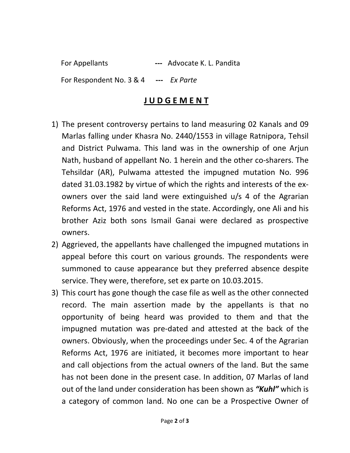For Appellants --- Advocate K. L. Pandita For Respondent No. 3 & 4 --- Ex Parte

## J U D G E M E N T

- 1) The present controversy pertains to land measuring 02 Kanals and 09 Marlas falling under Khasra No. 2440/1553 in village Ratnipora, Tehsil and District Pulwama. This land was in the ownership of one Arjun Nath, husband of appellant No. 1 herein and the other co-sharers. The Tehsildar (AR), Pulwama attested the impugned mutation No. 996 dated 31.03.1982 by virtue of which the rights and interests of the exowners over the said land were extinguished u/s 4 of the Agrarian Reforms Act, 1976 and vested in the state. Accordingly, one Ali and his brother Aziz both sons Ismail Ganai were declared as prospective owners.
- 2) Aggrieved, the appellants have challenged the impugned mutations in appeal before this court on various grounds. The respondents were summoned to cause appearance but they preferred absence despite service. They were, therefore, set ex parte on 10.03.2015.
- 3) This court has gone though the case file as well as the other connected record. The main assertion made by the appellants is that no opportunity of being heard was provided to them and that the impugned mutation was pre-dated and attested at the back of the owners. Obviously, when the proceedings under Sec. 4 of the Agrarian Reforms Act, 1976 are initiated, it becomes more important to hear and call objections from the actual owners of the land. But the same has not been done in the present case. In addition, 07 Marlas of land out of the land under consideration has been shown as "Kuhl" which is a category of common land. No one can be a Prospective Owner of